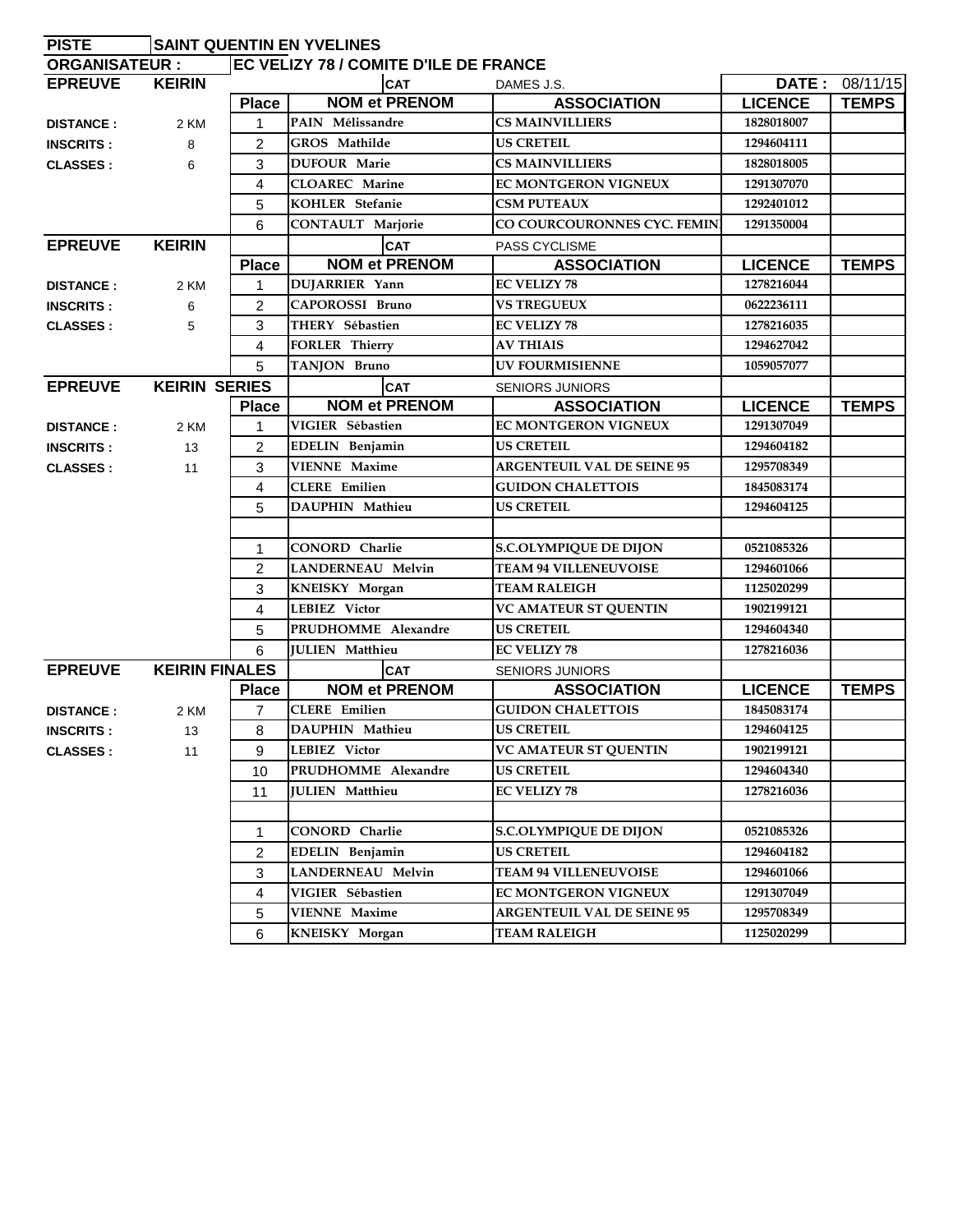| <b>PISTE</b>         | <b>SAINT QUENTIN EN YVELINES</b> |                |                                              |                                   |                |                |  |  |
|----------------------|----------------------------------|----------------|----------------------------------------------|-----------------------------------|----------------|----------------|--|--|
| <b>ORGANISATEUR:</b> |                                  |                | <b>EC VELIZY 78 / COMITE D'ILE DE FRANCE</b> |                                   |                |                |  |  |
| <b>EPREUVE</b>       | <b>KEIRIN</b>                    |                | <b>CAT</b>                                   | DAMES J.S.                        |                | DATE: 08/11/15 |  |  |
|                      |                                  | <b>Place</b>   | <b>NOM et PRENOM</b>                         | <b>ASSOCIATION</b>                | <b>LICENCE</b> | <b>TEMPS</b>   |  |  |
| <b>DISTANCE:</b>     | 2 KM                             | 1              | PAIN Mélissandre                             | <b>CS MAINVILLIERS</b>            | 1828018007     |                |  |  |
| <b>INSCRITS:</b>     | 8                                | $\overline{2}$ | GROS Mathilde                                | <b>US CRETEIL</b>                 | 1294604111     |                |  |  |
| <b>CLASSES:</b>      | 6                                | 3              | <b>DUFOUR Marie</b>                          | <b>CS MAINVILLIERS</b>            | 1828018005     |                |  |  |
|                      |                                  | 4              | <b>CLOAREC</b> Marine                        | <b>EC MONTGERON VIGNEUX</b>       | 1291307070     |                |  |  |
|                      |                                  | 5              | KOHLER Stefanie                              | <b>CSM PUTEAUX</b>                | 1292401012     |                |  |  |
|                      |                                  | 6              | CONTAULT Marjorie                            | CO COURCOURONNES CYC. FEMIN       | 1291350004     |                |  |  |
| <b>EPREUVE</b>       | <b>KEIRIN</b>                    |                | <b>CAT</b>                                   | PASS CYCLISME                     |                |                |  |  |
|                      |                                  | <b>Place</b>   | <b>NOM et PRENOM</b>                         | <b>ASSOCIATION</b>                | <b>LICENCE</b> | <b>TEMPS</b>   |  |  |
| <b>DISTANCE:</b>     | 2 KM                             | 1              | <b>DUJARRIER Yann</b>                        | <b>EC VELIZY 78</b>               | 1278216044     |                |  |  |
| <b>INSCRITS:</b>     | 6                                | $\overline{2}$ | <b>CAPOROSSI Bruno</b>                       | <b>VS TREGUEUX</b>                | 0622236111     |                |  |  |
| <b>CLASSES:</b>      | 5                                | 3              | THERY Sébastien                              | <b>EC VELIZY 78</b>               | 1278216035     |                |  |  |
|                      |                                  | 4              | <b>FORLER Thierry</b>                        | <b>AV THIAIS</b>                  | 1294627042     |                |  |  |
|                      |                                  | 5              | TANJON Bruno                                 | <b>UV FOURMISIENNE</b>            | 1059057077     |                |  |  |
| <b>EPREUVE</b>       | <b>KEIRIN SERIES</b>             |                | <b>CAT</b>                                   | <b>SENIORS JUNIORS</b>            |                |                |  |  |
|                      |                                  | <b>Place</b>   | <b>NOM et PRENOM</b>                         | <b>ASSOCIATION</b>                | <b>LICENCE</b> | <b>TEMPS</b>   |  |  |
| <b>DISTANCE:</b>     | 2 KM                             | 1              | VIGIER Sébastien                             | <b>EC MONTGERON VIGNEUX</b>       | 1291307049     |                |  |  |
| <b>INSCRITS:</b>     | 13                               | $\overline{2}$ | EDELIN Benjamin                              | <b>US CRETEIL</b>                 | 1294604182     |                |  |  |
| <b>CLASSES:</b>      | 11                               | 3              | <b>VIENNE Maxime</b>                         | <b>ARGENTEUIL VAL DE SEINE 95</b> | 1295708349     |                |  |  |
|                      |                                  | 4              | <b>CLERE</b> Emilien                         | <b>GUIDON CHALETTOIS</b>          | 1845083174     |                |  |  |
|                      |                                  | 5              | <b>DAUPHIN Mathieu</b>                       | <b>US CRETEIL</b>                 | 1294604125     |                |  |  |
|                      |                                  |                |                                              |                                   |                |                |  |  |
|                      |                                  | 1              | CONORD Charlie                               | <b>S.C.OLYMPIQUE DE DIJON</b>     | 0521085326     |                |  |  |
|                      |                                  | $\overline{2}$ | <b>LANDERNEAU Melvin</b>                     | <b>TEAM 94 VILLENEUVOISE</b>      | 1294601066     |                |  |  |
|                      |                                  | 3              | KNEISKY Morgan                               | <b>TEAM RALEIGH</b>               | 1125020299     |                |  |  |
|                      |                                  | 4              | LEBIEZ Victor                                | <b>VC AMATEUR ST QUENTIN</b>      | 1902199121     |                |  |  |
|                      |                                  | 5              | PRUDHOMME Alexandre                          | <b>US CRETEIL</b>                 | 1294604340     |                |  |  |
|                      |                                  | 6              | <b>JULIEN</b> Matthieu                       | <b>EC VELIZY 78</b>               | 1278216036     |                |  |  |
| <b>EPREUVE</b>       | <b>KEIRIN FINALES</b>            |                | <b>CAT</b>                                   | <b>SENIORS JUNIORS</b>            |                |                |  |  |
|                      |                                  | <b>Place</b>   | <b>NOM et PRENOM</b>                         | <b>ASSOCIATION</b>                | <b>LICENCE</b> | <b>TEMPS</b>   |  |  |
| <b>DISTANCE:</b>     | 2 KM                             | 7              | <b>CLERE</b> Emilien                         | <b>GUIDON CHALETTOIS</b>          | 1845083174     |                |  |  |
| <b>INSCRITS:</b>     | 13                               | 8              | DAUPHIN Mathieu                              | <b>US CRETEIL</b>                 | 1294604125     |                |  |  |
| <b>CLASSES:</b>      | 11                               | 9              | LEBIEZ Victor                                | <b>VC AMATEUR ST QUENTIN</b>      | 1902199121     |                |  |  |
|                      |                                  | 10             | PRUDHOMME Alexandre                          | <b>US CRETEIL</b>                 | 1294604340     |                |  |  |
|                      |                                  | 11             | <b>JULIEN</b> Matthieu                       | <b>EC VELIZY 78</b>               | 1278216036     |                |  |  |
|                      |                                  |                |                                              |                                   |                |                |  |  |
|                      |                                  | 1              | CONORD Charlie                               | <b>S.C.OLYMPIQUE DE DIJON</b>     | 0521085326     |                |  |  |
|                      |                                  | 2              | EDELIN Benjamin                              | <b>US CRETEIL</b>                 | 1294604182     |                |  |  |
|                      |                                  | 3              | LANDERNEAU Melvin                            | <b>TEAM 94 VILLENEUVOISE</b>      | 1294601066     |                |  |  |
|                      |                                  | 4              | VIGIER Sébastien                             | EC MONTGERON VIGNEUX              | 1291307049     |                |  |  |
|                      |                                  | 5              | <b>VIENNE Maxime</b>                         | <b>ARGENTEUIL VAL DE SEINE 95</b> | 1295708349     |                |  |  |
|                      |                                  | 6              | KNEISKY Morgan                               | <b>TEAM RALEIGH</b>               | 1125020299     |                |  |  |
|                      |                                  |                |                                              |                                   |                |                |  |  |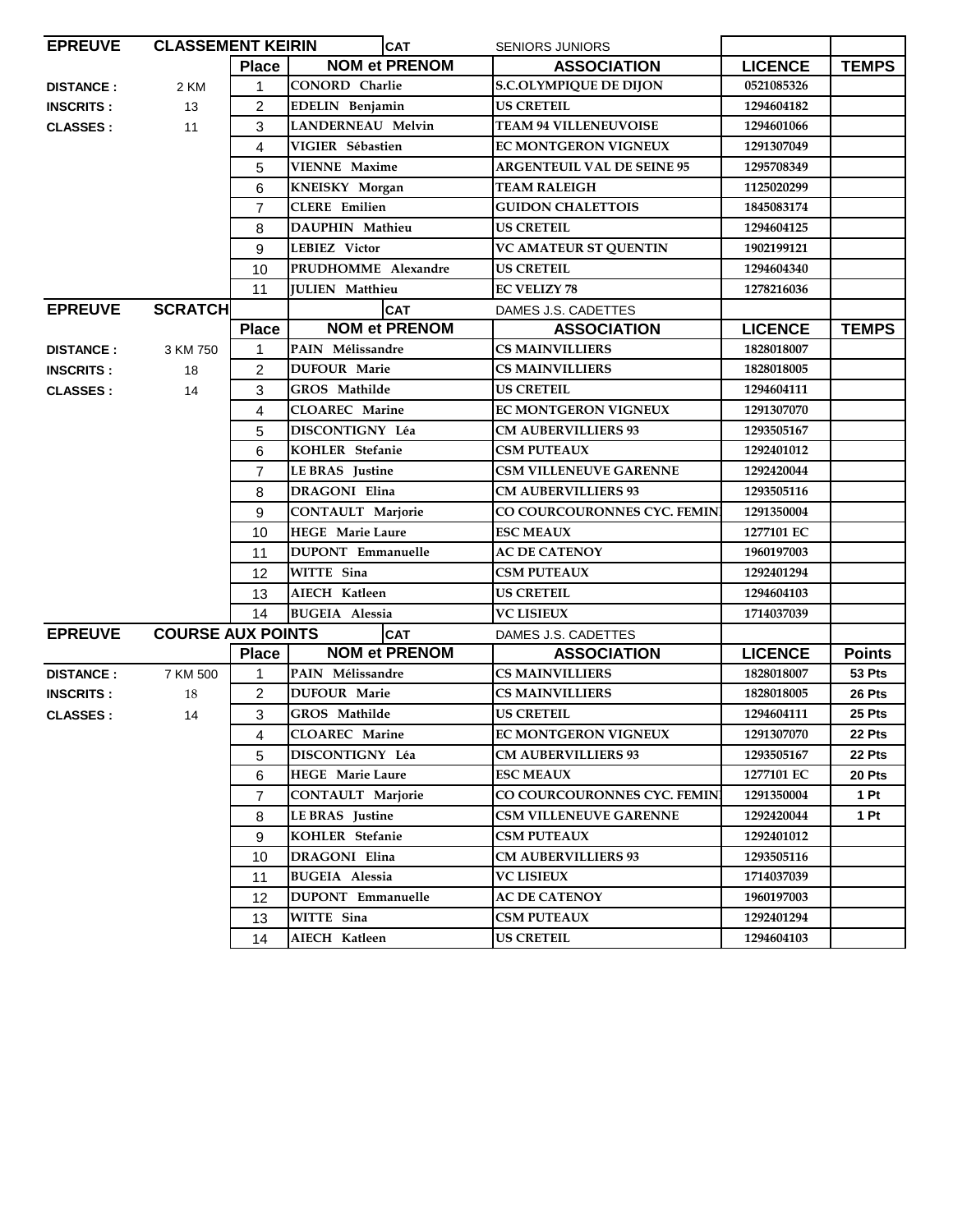| <b>CLASSEMENT KEIRIN</b><br><b>EPREUVE</b> |                          |                | <b>CAT</b>               | <b>SENIORS JUNIORS</b>            |                |                 |
|--------------------------------------------|--------------------------|----------------|--------------------------|-----------------------------------|----------------|-----------------|
|                                            |                          | <b>Place</b>   | <b>NOM et PRENOM</b>     | <b>ASSOCIATION</b>                | <b>LICENCE</b> | <b>TEMPS</b>    |
| <b>DISTANCE:</b>                           | 2 KM                     | 1              | <b>CONORD</b> Charlie    | <b>S.C.OLYMPIQUE DE DIJON</b>     | 0521085326     |                 |
| <b>INSCRITS:</b>                           | 13                       | 2              | EDELIN Benjamin          | <b>US CRETEIL</b>                 | 1294604182     |                 |
| <b>CLASSES:</b>                            | 11                       | 3              | <b>LANDERNEAU Melvin</b> | <b>TEAM 94 VILLENEUVOISE</b>      | 1294601066     |                 |
|                                            |                          | 4              | VIGIER Sébastien         | <b>EC MONTGERON VIGNEUX</b>       | 1291307049     |                 |
|                                            |                          | 5              | <b>VIENNE Maxime</b>     | <b>ARGENTEUIL VAL DE SEINE 95</b> | 1295708349     |                 |
|                                            |                          | 6              | KNEISKY Morgan           | <b>TEAM RALEIGH</b>               | 1125020299     |                 |
|                                            |                          | $\overline{7}$ | <b>CLERE</b> Emilien     | <b>GUIDON CHALETTOIS</b>          | 1845083174     |                 |
|                                            |                          | 8              | DAUPHIN Mathieu          | <b>US CRETEIL</b>                 | 1294604125     |                 |
|                                            |                          | 9              | LEBIEZ Victor            | <b>VC AMATEUR ST OUENTIN</b>      | 1902199121     |                 |
|                                            |                          | 10             | PRUDHOMME Alexandre      | <b>US CRETEIL</b>                 | 1294604340     |                 |
|                                            |                          | 11             | <b>JULIEN</b> Matthieu   | <b>EC VELIZY 78</b>               | 1278216036     |                 |
| <b>EPREUVE</b>                             | <b>SCRATCH</b>           |                | <b>CAT</b>               | DAMES J.S. CADETTES               |                |                 |
|                                            |                          | <b>Place</b>   | <b>NOM et PRENOM</b>     | <b>ASSOCIATION</b>                | <b>LICENCE</b> | <b>TEMPS</b>    |
| <b>DISTANCE:</b>                           | 3 KM 750                 | 1              | PAIN Mélissandre         | <b>CS MAINVILLIERS</b>            | 1828018007     |                 |
| <b>INSCRITS:</b>                           | 18                       | 2              | <b>DUFOUR Marie</b>      | <b>CS MAINVILLIERS</b>            | 1828018005     |                 |
| <b>CLASSES:</b>                            | 14                       | 3              | GROS Mathilde            | <b>US CRETEIL</b>                 | 1294604111     |                 |
|                                            |                          | 4              | <b>CLOAREC</b> Marine    | <b>EC MONTGERON VIGNEUX</b>       | 1291307070     |                 |
|                                            |                          | 5              | DISCONTIGNY Léa          | <b>CM AUBERVILLIERS 93</b>        | 1293505167     |                 |
|                                            |                          | 6              | KOHLER Stefanie          | <b>CSM PUTEAUX</b>                | 1292401012     |                 |
|                                            |                          | $\overline{7}$ | LE BRAS Justine          | <b>CSM VILLENEUVE GARENNE</b>     | 1292420044     |                 |
|                                            |                          | 8              | <b>DRAGONI Elina</b>     | <b>CM AUBERVILLIERS 93</b>        | 1293505116     |                 |
|                                            |                          | 9              | <b>CONTAULT Marjorie</b> | CO COURCOURONNES CYC. FEMIN       | 1291350004     |                 |
|                                            |                          | 10             | <b>HEGE</b> Marie Laure  | <b>ESC MEAUX</b>                  | 1277101 EC     |                 |
|                                            |                          | 11             | <b>DUPONT</b> Emmanuelle | <b>AC DE CATENOY</b>              | 1960197003     |                 |
|                                            |                          | 12             | <b>WITTE Sina</b>        | <b>CSM PUTEAUX</b>                | 1292401294     |                 |
|                                            |                          | 13             | AIECH Katleen            | <b>US CRETEIL</b>                 | 1294604103     |                 |
|                                            |                          | 14             | <b>BUGEIA Alessia</b>    | <b>VC LISIEUX</b>                 | 1714037039     |                 |
| <b>EPREUVE</b>                             | <b>COURSE AUX POINTS</b> |                | <b>CAT</b>               | DAMES J.S. CADETTES               |                |                 |
|                                            |                          | <b>Place</b>   | <b>NOM et PRENOM</b>     | <b>ASSOCIATION</b>                | <b>LICENCE</b> | <b>Points</b>   |
| <b>DISTANCE:</b>                           | 7 KM 500                 | 1              | PAIN Mélissandre         | <b>CS MAINVILLIERS</b>            | 1828018007     | 53 Pts          |
| <b>INSCRITS:</b>                           | 18                       | $\overline{2}$ | <b>DUFOUR Marie</b>      | <b>CS MAINVILLIERS</b>            | 1828018005     | 26 Pts          |
| <b>CLASSES:</b>                            | 14                       | 3              | GROS Mathilde            | <b>US CRETEIL</b>                 | 1294604111     | 25 Pts          |
|                                            |                          | 4              | <b>CLOAREC</b> Marine    | <b>EC MONTGERON VIGNEUX</b>       | 1291307070     | 22 Pts          |
|                                            |                          | 5              | DISCONTIGNY Léa          | <b>CM AUBERVILLIERS 93</b>        | 1293505167     | 22 Pts          |
|                                            |                          | 6              | <b>HEGE</b> Marie Laure  | <b>ESC MEAUX</b>                  | 1277101 EC     | 20 Pts          |
|                                            |                          | 7              | CONTAULT Marjorie        | CO COURCOURONNES CYC. FEMIN       | 1291350004     | 1P <sub>t</sub> |
|                                            |                          | 8              | LE BRAS Justine          | <b>CSM VILLENEUVE GARENNE</b>     | 1292420044     | 1 Pt            |
|                                            |                          | 9              | KOHLER Stefanie          | <b>CSM PUTEAUX</b>                | 1292401012     |                 |
|                                            |                          | 10             | DRAGONI Elina            | <b>CM AUBERVILLIERS 93</b>        | 1293505116     |                 |
|                                            |                          | 11             | <b>BUGEIA Alessia</b>    | <b>VC LISIEUX</b>                 | 1714037039     |                 |
|                                            |                          | 12             | <b>DUPONT</b> Emmanuelle | <b>AC DE CATENOY</b>              | 1960197003     |                 |
|                                            |                          | 13             | WITTE Sina               | <b>CSM PUTEAUX</b>                | 1292401294     |                 |
|                                            |                          | 14             | AIECH Katleen            | <b>US CRETEIL</b>                 | 1294604103     |                 |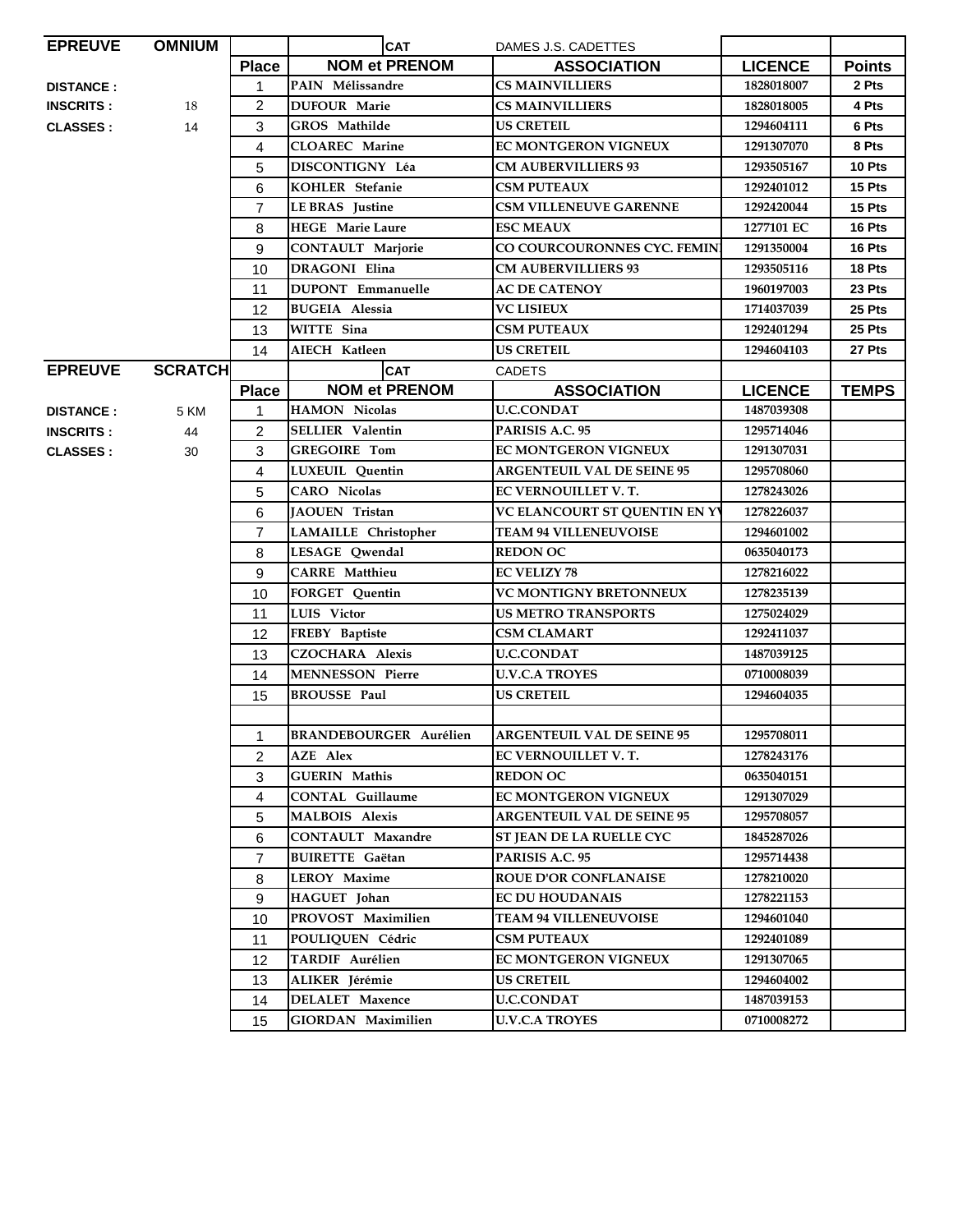| <b>EPREUVE</b>    | <b>OMNIUM</b>   |                | <b>CAT</b><br>DAMES J.S. CADETTES |                                   |                          |               |
|-------------------|-----------------|----------------|-----------------------------------|-----------------------------------|--------------------------|---------------|
|                   |                 | <b>Place</b>   | <b>NOM et PRENOM</b>              | <b>ASSOCIATION</b>                | <b>LICENCE</b>           | <b>Points</b> |
| <b>DISTANCE :</b> |                 | $\mathbf{1}$   | PAIN Mélissandre                  | <b>CS MAINVILLIERS</b>            | 1828018007               | 2 Pts         |
| <b>INSCRITS :</b> | 18              | $\overline{2}$ | <b>DUFOUR Marie</b>               | <b>CS MAINVILLIERS</b>            | 1828018005               | 4 Pts         |
| <b>CLASSES:</b>   | 14              | 3              | GROS Mathilde                     | <b>US CRETEIL</b>                 | 1294604111               | 6 Pts         |
|                   |                 | 4              | <b>CLOAREC</b> Marine             | <b>EC MONTGERON VIGNEUX</b>       | 1291307070               | 8 Pts         |
|                   |                 | 5              | <b>DISCONTIGNY Léa</b>            | <b>CM AUBERVILLIERS 93</b>        | 1293505167               | 10 Pts        |
|                   |                 | 6              | KOHLER Stefanie                   | <b>CSM PUTEAUX</b>                | 1292401012               | 15 Pts        |
|                   |                 | 7              | <b>LE BRAS</b> Justine            | <b>CSM VILLENEUVE GARENNE</b>     | 1292420044               | 15 Pts        |
|                   |                 | 8              | <b>HEGE</b> Marie Laure           | <b>ESC MEAUX</b>                  | 1277101 EC               | 16 Pts        |
|                   |                 | 9              | <b>CONTAULT Marjorie</b>          | CO COURCOURONNES CYC. FEMIN       | 1291350004               | 16 Pts        |
|                   |                 | 10             | <b>DRAGONI</b> Elina              | <b>CM AUBERVILLIERS 93</b>        | 1293505116               | 18 Pts        |
|                   |                 | 11             | <b>DUPONT</b> Emmanuelle          | <b>AC DE CATENOY</b>              | 1960197003               | 23 Pts        |
|                   |                 | 12             | <b>BUGEIA Alessia</b>             | <b>VC LISIEUX</b>                 | 1714037039               | 25 Pts        |
|                   |                 | 13             | WITTE Sina                        | <b>CSM PUTEAUX</b>                | 1292401294               | 25 Pts        |
|                   |                 | 14             | AIECH Katleen                     | <b>US CRETEIL</b>                 | 1294604103               | 27 Pts        |
| <b>EPREUVE</b>    | <b>SCRATCHI</b> |                | <b>CAT</b>                        | <b>CADETS</b>                     |                          |               |
|                   |                 | <b>Place</b>   | <b>NOM et PRENOM</b>              | <b>ASSOCIATION</b>                | <b>LICENCE</b>           | <b>TEMPS</b>  |
| <b>DISTANCE :</b> | 5 KM            | $\mathbf{1}$   | <b>HAMON Nicolas</b>              | <b>U.C.CONDAT</b>                 | 1487039308               |               |
| <b>INSCRITS :</b> | 44              | $\overline{2}$ | <b>SELLIER Valentin</b>           | PARISIS A.C. 95                   | 1295714046               |               |
| <b>CLASSES:</b>   | 30              | 3              | <b>GREGOIRE Tom</b>               | <b>EC MONTGERON VIGNEUX</b>       | 1291307031               |               |
|                   |                 | 4              | <b>LUXEUIL</b> Ouentin            | <b>ARGENTEUIL VAL DE SEINE 95</b> | 1295708060               |               |
|                   |                 | 5              | <b>CARO</b> Nicolas               | EC VERNOUILLET V.T.               | 1278243026               |               |
|                   |                 | 6              | JAOUEN Tristan                    | VC ELANCOURT ST QUENTIN EN YV     | 1278226037               |               |
|                   |                 | $\overline{7}$ | LAMAILLE Christopher              | <b>TEAM 94 VILLENEUVOISE</b>      | 1294601002               |               |
|                   |                 | 8              | LESAGE Qwendal                    | <b>REDON OC</b>                   | 0635040173               |               |
|                   |                 | 9              | <b>CARRE</b> Matthieu             | <b>EC VELIZY 78</b>               | 1278216022               |               |
|                   |                 | 10             | <b>FORGET Quentin</b>             | <b>VC MONTIGNY BRETONNEUX</b>     | 1278235139               |               |
|                   |                 | 11             | LUIS Victor                       | <b>US METRO TRANSPORTS</b>        | 1275024029               |               |
|                   |                 | 12             | FREBY Baptiste                    | <b>CSM CLAMART</b>                | 1292411037               |               |
|                   |                 | 13             | <b>CZOCHARA Alexis</b>            | <b>U.C.CONDAT</b>                 | 1487039125               |               |
|                   |                 | 14             | <b>MENNESSON Pierre</b>           | <b>U.V.C.A TROYES</b>             | 0710008039               |               |
|                   |                 | 15             | <b>BROUSSE Paul</b>               | <b>US CRETEIL</b>                 | 1294604035               |               |
|                   |                 |                | <b>BRANDEBOURGER Aurélien</b>     | <b>ARGENTEUIL VAL DE SEINE 95</b> |                          |               |
|                   |                 | 1              | AZE Alex                          | EC VERNOUILLET V.T.               | 1295708011<br>1278243176 |               |
|                   |                 | 2<br>3         | <b>GUERIN Mathis</b>              | <b>REDON OC</b>                   | 0635040151               |               |
|                   |                 | 4              | <b>CONTAL Guillaume</b>           | <b>EC MONTGERON VIGNEUX</b>       | 1291307029               |               |
|                   |                 | 5              | <b>MALBOIS</b> Alexis             | <b>ARGENTEUIL VAL DE SEINE 95</b> | 1295708057               |               |
|                   |                 | 6              | <b>CONTAULT Maxandre</b>          | ST JEAN DE LA RUELLE CYC          | 1845287026               |               |
|                   |                 | $\overline{7}$ | <b>BUIRETTE</b> Gaëtan            | PARISIS A.C. 95                   | 1295714438               |               |
|                   |                 | 8              | <b>LEROY Maxime</b>               | <b>ROUE D'OR CONFLANAISE</b>      | 1278210020               |               |
|                   |                 | 9              | HAGUET Johan                      | <b>EC DU HOUDANAIS</b>            | 1278221153               |               |
|                   |                 | 10             | PROVOST Maximilien                | <b>TEAM 94 VILLENEUVOISE</b>      | 1294601040               |               |
|                   |                 | 11             | POULIOUEN Cédric                  | <b>CSM PUTEAUX</b>                | 1292401089               |               |
|                   |                 | 12             | TARDIF Aurélien                   | <b>EC MONTGERON VIGNEUX</b>       | 1291307065               |               |
|                   |                 | 13             | ALIKER Jérémie                    | <b>US CRETEIL</b>                 | 1294604002               |               |
|                   |                 | 14             | <b>DELALET</b> Maxence            | <b>U.C.CONDAT</b>                 | 1487039153               |               |
|                   |                 | 15             | <b>GIORDAN Maximilien</b>         | <b>U.V.C.A TROYES</b>             | 0710008272               |               |
|                   |                 |                |                                   |                                   |                          |               |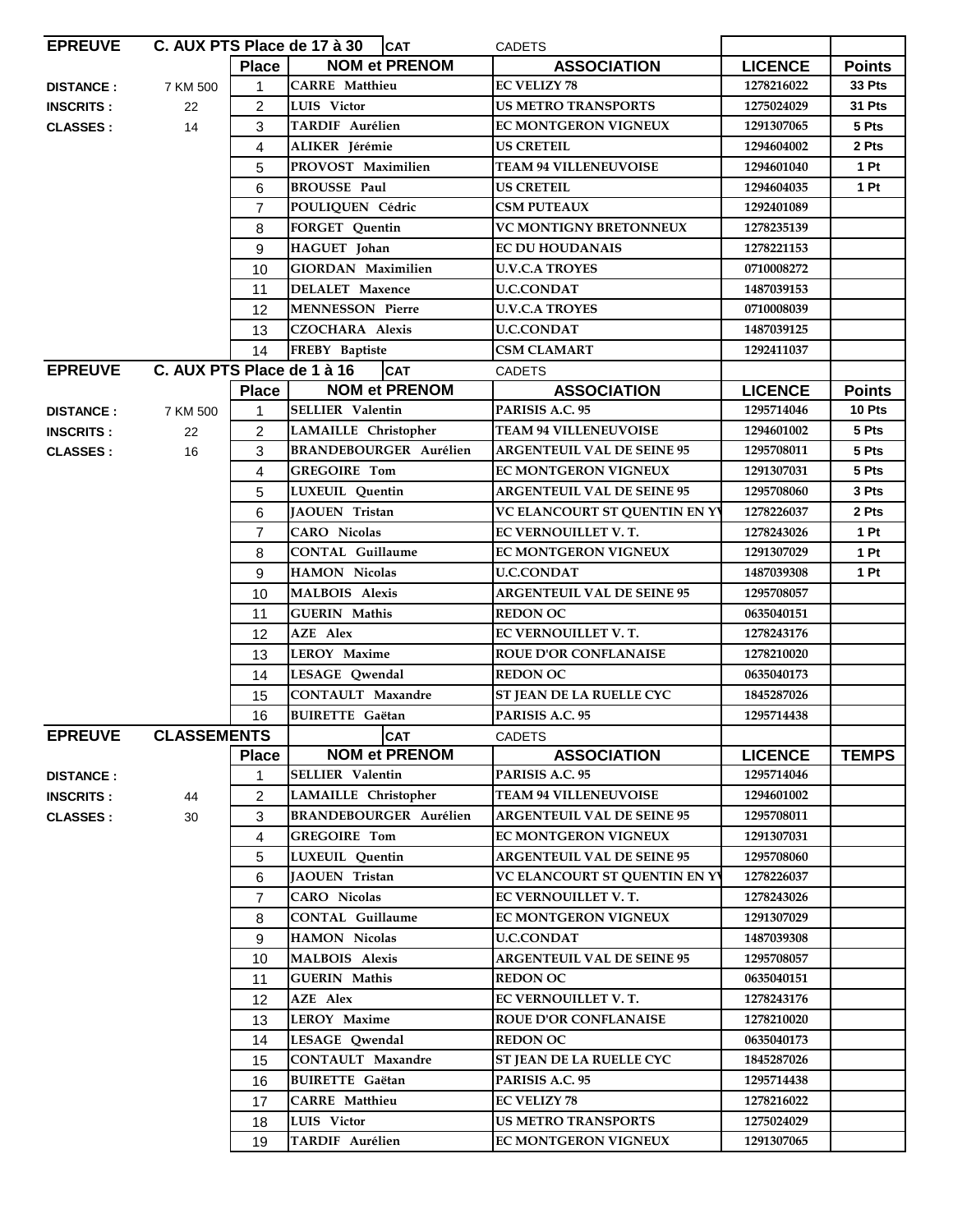| <b>EPREUVE</b>   |                            |                | C. AUX PTS Place de 17 à 30 $ CAT$ |                               | <b>CADETS</b>                     |                |               |
|------------------|----------------------------|----------------|------------------------------------|-------------------------------|-----------------------------------|----------------|---------------|
|                  |                            | <b>Place</b>   |                                    | <b>NOM et PRENOM</b>          | <b>ASSOCIATION</b>                | <b>LICENCE</b> | <b>Points</b> |
| <b>DISTANCE:</b> | 7 KM 500                   | $\mathbf{1}$   | <b>CARRE</b> Matthieu              |                               | <b>EC VELIZY 78</b>               | 1278216022     | 33 Pts        |
| <b>INSCRITS:</b> | 22                         | $\overline{c}$ | LUIS Victor                        |                               | <b>US METRO TRANSPORTS</b>        | 1275024029     | 31 Pts        |
| <b>CLASSES:</b>  | 14                         | 3              | <b>TARDIF Aurélien</b>             |                               | EC MONTGERON VIGNEUX              | 1291307065     | 5 Pts         |
|                  |                            | 4              | ALIKER Jérémie                     |                               | <b>US CRETEIL</b>                 | 1294604002     | 2 Pts         |
|                  |                            | 5              | PROVOST Maximilien                 |                               | <b>TEAM 94 VILLENEUVOISE</b>      | 1294601040     | 1 Pt          |
|                  |                            | 6              | <b>BROUSSE Paul</b>                |                               | <b>US CRETEIL</b>                 | 1294604035     | 1 Pt          |
|                  |                            | $\overline{7}$ | POULIOUEN Cédric                   |                               | <b>CSM PUTEAUX</b>                | 1292401089     |               |
|                  |                            | 8              | <b>FORGET Quentin</b>              |                               | <b>VC MONTIGNY BRETONNEUX</b>     | 1278235139     |               |
|                  |                            | 9              | HAGUET Johan                       |                               | <b>EC DU HOUDANAIS</b>            | 1278221153     |               |
|                  |                            | 10             | <b>GIORDAN Maximilien</b>          |                               | <b>U.V.C.A TROYES</b>             | 0710008272     |               |
|                  |                            | 11             | <b>DELALET</b> Maxence             |                               | <b>U.C.CONDAT</b>                 | 1487039153     |               |
|                  |                            | 12             | <b>MENNESSON Pierre</b>            |                               | <b>U.V.C.A TROYES</b>             | 0710008039     |               |
|                  |                            | 13             | <b>CZOCHARA Alexis</b>             |                               | <b>U.C.CONDAT</b>                 | 1487039125     |               |
|                  |                            | 14             | FREBY Baptiste                     |                               | <b>CSM CLAMART</b>                | 1292411037     |               |
| <b>EPREUVE</b>   | C. AUX PTS Place de 1 à 16 |                |                                    | <b>CAT</b>                    | <b>CADETS</b>                     |                |               |
|                  |                            | <b>Place</b>   |                                    | <b>NOM et PRENOM</b>          | <b>ASSOCIATION</b>                | <b>LICENCE</b> | <b>Points</b> |
| <b>DISTANCE:</b> | 7 KM 500                   | 1              | <b>SELLIER Valentin</b>            |                               | PARISIS A.C. 95                   | 1295714046     | 10 Pts        |
| <b>INSCRITS:</b> | 22                         | $\overline{2}$ | LAMAILLE Christopher               |                               | <b>TEAM 94 VILLENEUVOISE</b>      | 1294601002     | 5 Pts         |
| <b>CLASSES:</b>  | 16                         | 3              |                                    | <b>BRANDEBOURGER Aurélien</b> | <b>ARGENTEUIL VAL DE SEINE 95</b> | 1295708011     | 5 Pts         |
|                  |                            | 4              | <b>GREGOIRE Tom</b>                |                               | EC MONTGERON VIGNEUX              | 1291307031     | 5 Pts         |
|                  |                            | 5              | LUXEUIL Quentin                    |                               | <b>ARGENTEUIL VAL DE SEINE 95</b> | 1295708060     | 3 Pts         |
|                  |                            | 6              | <b>JAOUEN Tristan</b>              |                               | VC ELANCOURT ST QUENTIN EN Y      | 1278226037     | 2 Pts         |
|                  |                            | $\overline{7}$ | <b>CARO</b> Nicolas                |                               | EC VERNOUILLET V.T.               | 1278243026     | 1 Pt          |
|                  |                            | 8              | <b>CONTAL Guillaume</b>            |                               | <b>EC MONTGERON VIGNEUX</b>       | 1291307029     | 1 Pt          |
|                  |                            | 9              | <b>HAMON Nicolas</b>               |                               | U.C.CONDAT                        | 1487039308     | 1 Pt          |
|                  |                            | 10             | <b>MALBOIS Alexis</b>              |                               | <b>ARGENTEUIL VAL DE SEINE 95</b> | 1295708057     |               |
|                  |                            | 11             | <b>GUERIN Mathis</b>               |                               | <b>REDON OC</b>                   | 0635040151     |               |
|                  |                            | 12             | <b>AZE</b> Alex                    |                               | EC VERNOUILLET V.T.               | 1278243176     |               |
|                  |                            | 13             | <b>LEROY Maxime</b>                |                               | <b>ROUE D'OR CONFLANAISE</b>      | 1278210020     |               |
|                  |                            | 14             | LESAGE Qwendal                     |                               | <b>REDON OC</b>                   | 0635040173     |               |
|                  |                            | 15             | <b>CONTAULT Maxandre</b>           |                               | ST JEAN DE LA RUELLE CYC          | 1845287026     |               |
|                  |                            | 16             | <b>BUIRETTE</b> Gaëtan             |                               | PARISIS A.C. 95                   | 1295714438     |               |
| <b>EPREUVE</b>   | <b>CLASSEMENTS</b>         |                |                                    | CAT                           | CADETS                            |                |               |
|                  |                            | Place          |                                    | <b>NOM et PRENOM</b>          | <b>ASSOCIATION</b>                | <b>LICENCE</b> | <b>TEMPS</b>  |
| <b>DISTANCE:</b> |                            | 1              | <b>SELLIER Valentin</b>            |                               | PARISIS A.C. 95                   | 1295714046     |               |
| <b>INSCRITS:</b> | 44                         | 2              | LAMAILLE Christopher               |                               | <b>TEAM 94 VILLENEUVOISE</b>      | 1294601002     |               |
| <b>CLASSES:</b>  | 30                         | 3              |                                    | <b>BRANDEBOURGER Aurélien</b> | <b>ARGENTEUIL VAL DE SEINE 95</b> | 1295708011     |               |
|                  |                            | 4              | <b>GREGOIRE Tom</b>                |                               | <b>EC MONTGERON VIGNEUX</b>       | 1291307031     |               |
|                  |                            | 5              | <b>LUXEUIL</b> Quentin             |                               | <b>ARGENTEUIL VAL DE SEINE 95</b> | 1295708060     |               |
|                  |                            | 6              | <b>JAOUEN</b> Tristan              |                               | VC ELANCOURT ST QUENTIN EN Y      | 1278226037     |               |
|                  |                            | $\overline{7}$ | <b>CARO</b> Nicolas                |                               | EC VERNOUILLET V.T.               | 1278243026     |               |
|                  |                            | 8              | <b>CONTAL Guillaume</b>            |                               | <b>EC MONTGERON VIGNEUX</b>       | 1291307029     |               |
|                  |                            | 9              | <b>HAMON Nicolas</b>               |                               | <b>U.C.CONDAT</b>                 | 1487039308     |               |
|                  |                            | 10             | <b>MALBOIS Alexis</b>              |                               | <b>ARGENTEUIL VAL DE SEINE 95</b> | 1295708057     |               |
|                  |                            | 11             | <b>GUERIN Mathis</b>               |                               | <b>REDON OC</b>                   | 0635040151     |               |
|                  |                            | 12             | AZE Alex                           |                               | EC VERNOUILLET V.T.               | 1278243176     |               |
|                  |                            | 13             | <b>LEROY Maxime</b>                |                               | <b>ROUE D'OR CONFLANAISE</b>      | 1278210020     |               |
|                  |                            | 14             | LESAGE Qwendal                     |                               | <b>REDON OC</b>                   | 0635040173     |               |
|                  |                            | 15             | <b>CONTAULT Maxandre</b>           |                               | ST JEAN DE LA RUELLE CYC          | 1845287026     |               |
|                  |                            | 16             | <b>BUIRETTE Gaëtan</b>             |                               | PARISIS A.C. 95                   | 1295714438     |               |
|                  |                            | 17             | <b>CARRE</b> Matthieu              |                               | <b>EC VELIZY 78</b>               | 1278216022     |               |
|                  |                            | 18             | LUIS Victor                        |                               | <b>US METRO TRANSPORTS</b>        | 1275024029     |               |
|                  |                            | 19             | TARDIF Aurélien                    |                               | EC MONTGERON VIGNEUX              | 1291307065     |               |
|                  |                            |                |                                    |                               |                                   |                |               |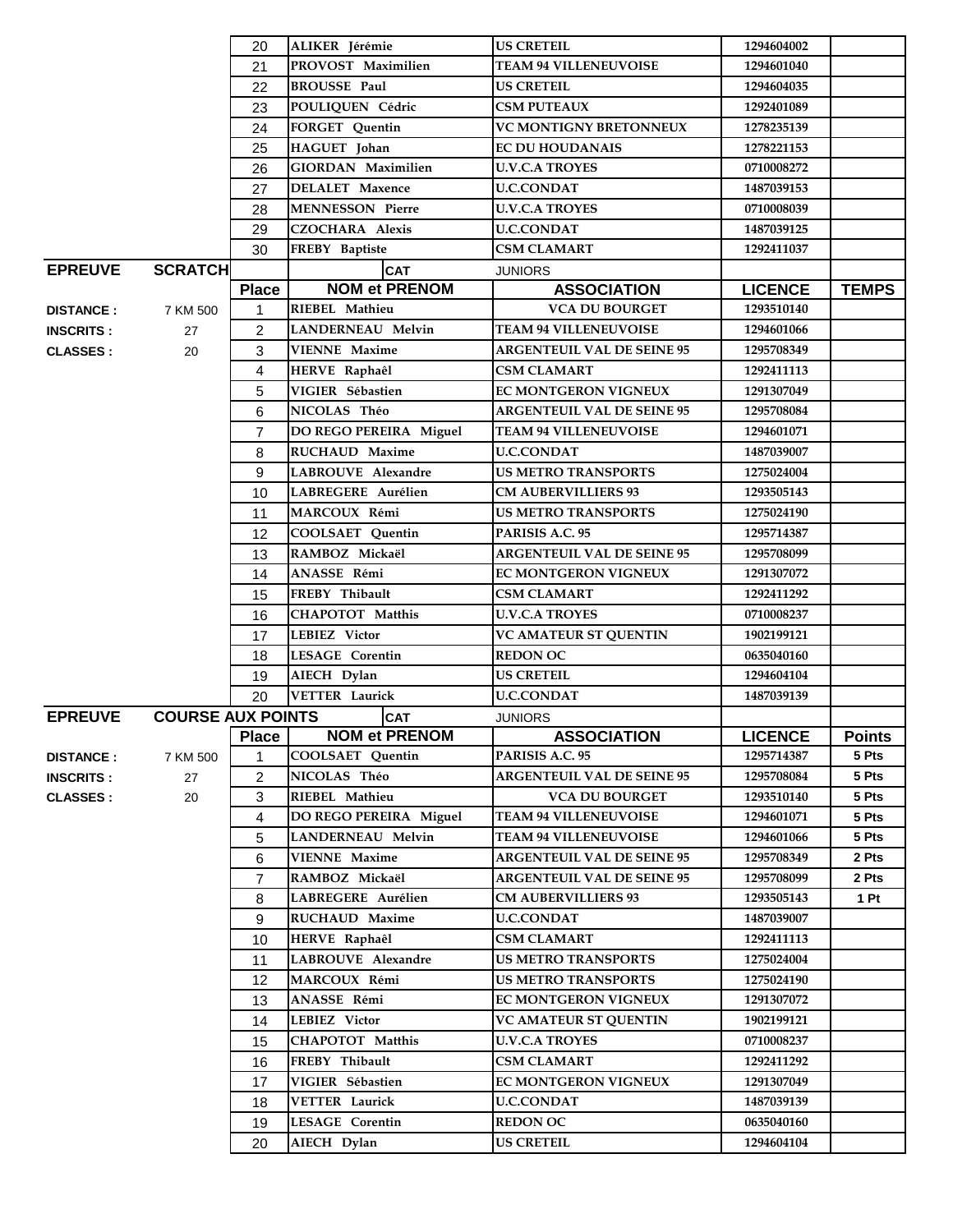|                  |                          | 20             | ALIKER Jérémie           | <b>US CRETEIL</b>                 | 1294604002     |               |
|------------------|--------------------------|----------------|--------------------------|-----------------------------------|----------------|---------------|
|                  |                          | 21             | PROVOST Maximilien       | <b>TEAM 94 VILLENEUVOISE</b>      | 1294601040     |               |
|                  |                          | 22             | <b>BROUSSE Paul</b>      | <b>US CRETEIL</b>                 | 1294604035     |               |
|                  |                          | 23             | POULIQUEN Cédric         | <b>CSM PUTEAUX</b>                | 1292401089     |               |
|                  |                          | 24             | FORGET Quentin           | <b>VC MONTIGNY BRETONNEUX</b>     | 1278235139     |               |
|                  |                          | 25             | HAGUET Johan             | <b>EC DU HOUDANAIS</b>            | 1278221153     |               |
|                  |                          | 26             | GIORDAN Maximilien       | <b>U.V.C.A TROYES</b>             | 0710008272     |               |
|                  |                          | 27             | <b>DELALET</b> Maxence   | <b>U.C.CONDAT</b>                 | 1487039153     |               |
|                  |                          | 28             | <b>MENNESSON Pierre</b>  | U.V.C.A TROYES                    | 0710008039     |               |
|                  |                          | 29             | <b>CZOCHARA Alexis</b>   | <b>U.C.CONDAT</b>                 | 1487039125     |               |
|                  |                          | 30             | FREBY Baptiste           | <b>CSM CLAMART</b>                | 1292411037     |               |
| <b>EPREUVE</b>   | <b>SCRATCH</b>           |                | <b>CAT</b>               | <b>JUNIORS</b>                    |                |               |
|                  |                          | <b>Place</b>   | <b>NOM et PRENOM</b>     | <b>ASSOCIATION</b>                | <b>LICENCE</b> | <b>TEMPS</b>  |
| <b>DISTANCE:</b> | 7 KM 500                 | 1              | RIEBEL Mathieu           | <b>VCA DU BOURGET</b>             | 1293510140     |               |
| <b>INSCRITS:</b> | 27                       | $\overline{c}$ | <b>LANDERNEAU Melvin</b> | <b>TEAM 94 VILLENEUVOISE</b>      | 1294601066     |               |
| <b>CLASSES:</b>  | 20                       | 3              | <b>VIENNE Maxime</b>     | <b>ARGENTEUIL VAL DE SEINE 95</b> | 1295708349     |               |
|                  |                          | 4              | HERVE Raphaêl            | <b>CSM CLAMART</b>                | 1292411113     |               |
|                  |                          | 5              | VIGIER Sébastien         | EC MONTGERON VIGNEUX              | 1291307049     |               |
|                  |                          | 6              | NICOLAS Théo             | <b>ARGENTEUIL VAL DE SEINE 95</b> | 1295708084     |               |
|                  |                          | $\overline{7}$ | DO REGO PEREIRA Miguel   | <b>TEAM 94 VILLENEUVOISE</b>      | 1294601071     |               |
|                  |                          | 8              | <b>RUCHAUD Maxime</b>    | <b>U.C.CONDAT</b>                 | 1487039007     |               |
|                  |                          | 9              | LABROUVE Alexandre       | <b>US METRO TRANSPORTS</b>        | 1275024004     |               |
|                  |                          | 10             | LABREGERE Aurélien       | <b>CM AUBERVILLIERS 93</b>        | 1293505143     |               |
|                  |                          | 11             | MARCOUX Rémi             | <b>US METRO TRANSPORTS</b>        | 1275024190     |               |
|                  |                          | 12             | COOLSAET Quentin         | PARISIS A.C. 95                   | 1295714387     |               |
|                  |                          | 13             | RAMBOZ Mickaël           | <b>ARGENTEUIL VAL DE SEINE 95</b> | 1295708099     |               |
|                  |                          | 14             | ANASSE Rémi              | <b>EC MONTGERON VIGNEUX</b>       | 1291307072     |               |
|                  |                          | 15             | FREBY Thibault           | <b>CSM CLAMART</b>                | 1292411292     |               |
|                  |                          | 16             | <b>CHAPOTOT Matthis</b>  | <b>U.V.C.A TROYES</b>             | 0710008237     |               |
|                  |                          | 17             | LEBIEZ Victor            | <b>VC AMATEUR ST QUENTIN</b>      | 1902199121     |               |
|                  |                          | 18             | <b>LESAGE Corentin</b>   | <b>REDON OC</b>                   | 0635040160     |               |
|                  |                          | 19             | AIECH Dylan              | <b>US CRETEIL</b>                 | 1294604104     |               |
|                  |                          | 20             | <b>VETTER Laurick</b>    | <b>U.C.CONDAT</b>                 | 1487039139     |               |
| <b>EPREUVE</b>   | <b>COURSE AUX POINTS</b> |                | <b>CAT</b>               | <b>JUNIORS</b>                    |                |               |
|                  |                          |                | Place NOM et PRENOM      | <b>ASSOCIATION</b>                | <b>LICENCE</b> | <b>Points</b> |
| <b>DISTANCE:</b> | 7 KM 500                 | 1              | <b>COOLSAET Quentin</b>  | PARISIS A.C. 95                   | 1295714387     | 5 Pts         |
| <b>INSCRITS:</b> | 27                       | $\overline{c}$ | NICOLAS Théo             | <b>ARGENTEUIL VAL DE SEINE 95</b> | 1295708084     | 5 Pts         |
| <b>CLASSES:</b>  | 20                       | 3              | RIEBEL Mathieu           | <b>VCA DU BOURGET</b>             | 1293510140     | 5 Pts         |
|                  |                          | 4              | DO REGO PEREIRA Miguel   | <b>TEAM 94 VILLENEUVOISE</b>      | 1294601071     | 5 Pts         |
|                  |                          | 5              | <b>LANDERNEAU Melvin</b> | <b>TEAM 94 VILLENEUVOISE</b>      | 1294601066     | 5 Pts         |
|                  |                          | 6              | <b>VIENNE Maxime</b>     | <b>ARGENTEUIL VAL DE SEINE 95</b> | 1295708349     | 2 Pts         |
|                  |                          | 7              | RAMBOZ Mickaël           | <b>ARGENTEUIL VAL DE SEINE 95</b> | 1295708099     | 2 Pts         |
|                  |                          | 8              | LABREGERE Aurélien       | <b>CM AUBERVILLIERS 93</b>        | 1293505143     | 1 Pt          |
|                  |                          | 9              | RUCHAUD Maxime           | <b>U.C.CONDAT</b>                 | 1487039007     |               |
|                  |                          | 10             | HERVE Raphaêl            | CSM CLAMART                       | 1292411113     |               |
|                  |                          | 11             | LABROUVE Alexandre       | <b>US METRO TRANSPORTS</b>        | 1275024004     |               |
|                  |                          | 12             | MARCOUX Rémi             | <b>US METRO TRANSPORTS</b>        | 1275024190     |               |
|                  |                          | 13             | ANASSE Rémi              | <b>EC MONTGERON VIGNEUX</b>       | 1291307072     |               |
|                  |                          | 14             | LEBIEZ Victor            | <b>VC AMATEUR ST QUENTIN</b>      | 1902199121     |               |
|                  |                          | 15             | <b>CHAPOTOT Matthis</b>  | <b>U.V.C.A TROYES</b>             | 0710008237     |               |
|                  |                          | 16             | FREBY Thibault           | <b>CSM CLAMART</b>                | 1292411292     |               |
|                  |                          | 17             | VIGIER Sébastien         | <b>EC MONTGERON VIGNEUX</b>       | 1291307049     |               |
|                  |                          | 18             | <b>VETTER Laurick</b>    | <b>U.C.CONDAT</b>                 | 1487039139     |               |
|                  |                          | 19             | <b>LESAGE Corentin</b>   | <b>REDON OC</b>                   | 0635040160     |               |
|                  |                          | 20             | AIECH Dylan              | <b>US CRETEIL</b>                 | 1294604104     |               |
|                  |                          |                |                          |                                   |                |               |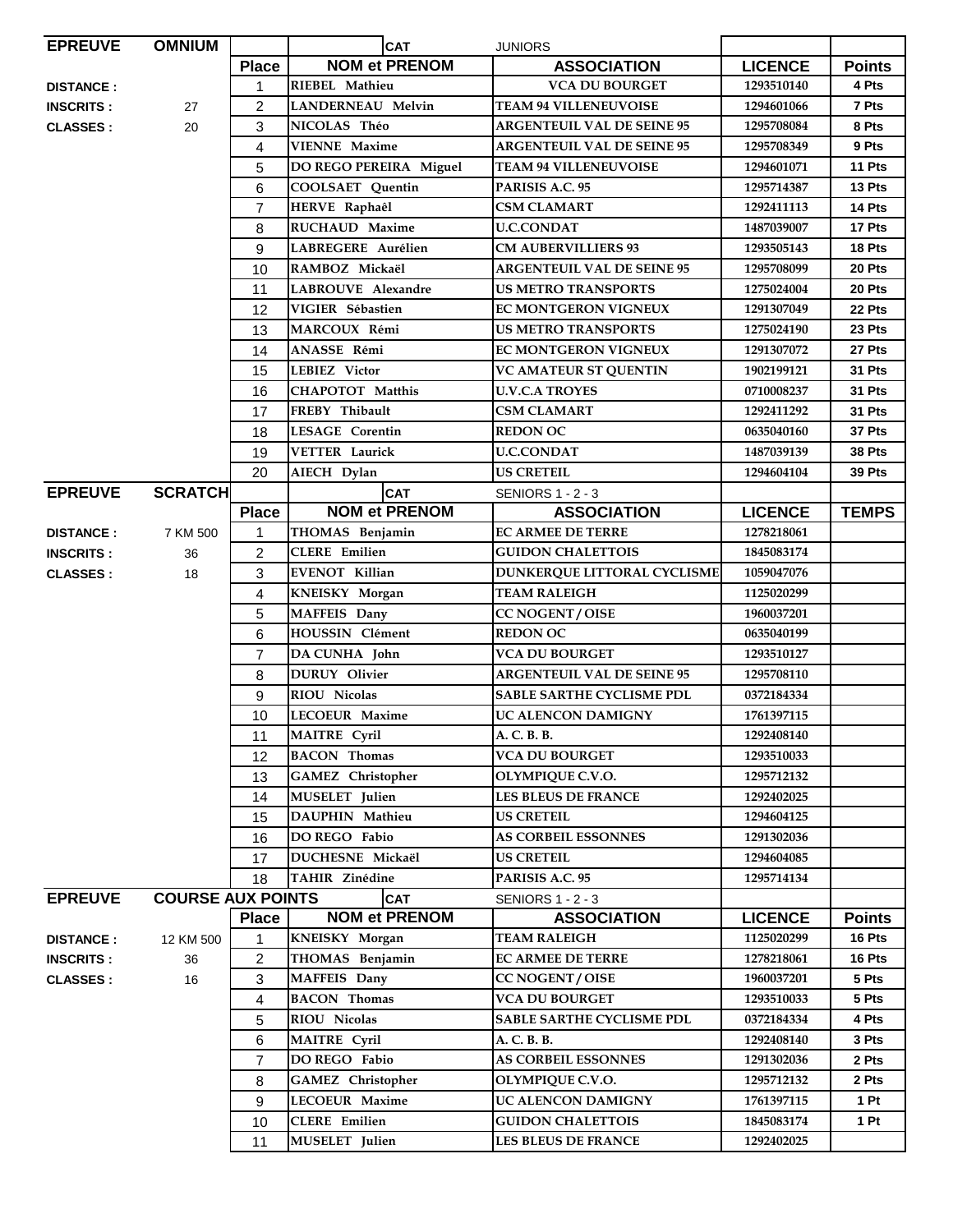| <b>EPREUVE</b>   | <b>OMNIUM</b>            |                | <b>CAT</b>               | <b>JUNIORS</b>                    |                |               |
|------------------|--------------------------|----------------|--------------------------|-----------------------------------|----------------|---------------|
|                  |                          | <b>Place</b>   | <b>NOM et PRENOM</b>     | <b>ASSOCIATION</b>                | <b>LICENCE</b> | <b>Points</b> |
| <b>DISTANCE:</b> |                          | 1              | RIEBEL Mathieu           | <b>VCA DU BOURGET</b>             | 1293510140     | 4 Pts         |
| <b>INSCRITS:</b> | 27                       | $\overline{c}$ | <b>LANDERNEAU Melvin</b> | <b>TEAM 94 VILLENEUVOISE</b>      | 1294601066     | 7 Pts         |
| <b>CLASSES:</b>  | 20                       | 3              | NICOLAS Théo             | <b>ARGENTEUIL VAL DE SEINE 95</b> | 1295708084     | 8 Pts         |
|                  |                          | 4              | <b>VIENNE Maxime</b>     | <b>ARGENTEUIL VAL DE SEINE 95</b> | 1295708349     | 9 Pts         |
|                  |                          | 5              | DO REGO PEREIRA Miguel   | <b>TEAM 94 VILLENEUVOISE</b>      | 1294601071     | 11 Pts        |
|                  |                          | 6              | <b>COOLSAET</b> Quentin  | PARISIS A.C. 95                   | 1295714387     | 13 Pts        |
|                  |                          | 7              | HERVE Raphaêl            | CSM CLAMART                       | 1292411113     | 14 Pts        |
|                  |                          | 8              | RUCHAUD Maxime           | <b>U.C.CONDAT</b>                 | 1487039007     | 17 Pts        |
|                  |                          | 9              | LABREGERE Aurélien       | <b>CM AUBERVILLIERS 93</b>        | 1293505143     | 18 Pts        |
|                  |                          | 10             | RAMBOZ Mickaël           | <b>ARGENTEUIL VAL DE SEINE 95</b> | 1295708099     | 20 Pts        |
|                  |                          | 11             | LABROUVE Alexandre       | <b>US METRO TRANSPORTS</b>        | 1275024004     | 20 Pts        |
|                  |                          | 12             | VIGIER Sébastien         | EC MONTGERON VIGNEUX              | 1291307049     | 22 Pts        |
|                  |                          | 13             | MARCOUX Rémi             | <b>US METRO TRANSPORTS</b>        | 1275024190     | 23 Pts        |
|                  |                          | 14             | ANASSE Rémi              | <b>EC MONTGERON VIGNEUX</b>       | 1291307072     | 27 Pts        |
|                  |                          | 15             | <b>LEBIEZ Victor</b>     | <b>VC AMATEUR ST QUENTIN</b>      | 1902199121     | 31 Pts        |
|                  |                          | 16             | <b>CHAPOTOT Matthis</b>  | <b>U.V.C.A TROYES</b>             | 0710008237     | 31 Pts        |
|                  |                          | 17             | FREBY Thibault           | <b>CSM CLAMART</b>                | 1292411292     | 31 Pts        |
|                  |                          | 18             | <b>LESAGE Corentin</b>   | <b>REDON OC</b>                   | 0635040160     | 37 Pts        |
|                  |                          | 19             | <b>VETTER Laurick</b>    | <b>U.C.CONDAT</b>                 | 1487039139     | 38 Pts        |
|                  |                          | 20             | AIECH Dylan              | <b>US CRETEIL</b>                 | 1294604104     | 39 Pts        |
| <b>EPREUVE</b>   | <b>SCRATCH</b>           |                | <b>CAT</b>               | <b>SENIORS 1 - 2 - 3</b>          |                |               |
|                  |                          | <b>Place</b>   | <b>NOM et PRENOM</b>     | <b>ASSOCIATION</b>                | <b>LICENCE</b> | <b>TEMPS</b>  |
| <b>DISTANCE:</b> | 7 KM 500                 | 1              | THOMAS Benjamin          | <b>EC ARMEE DE TERRE</b>          | 1278218061     |               |
| <b>INSCRITS:</b> | 36                       | $\overline{c}$ | <b>CLERE</b> Emilien     | <b>GUIDON CHALETTOIS</b>          | 1845083174     |               |
| <b>CLASSES:</b>  | 18                       | 3              | EVENOT Killian           | DUNKERQUE LITTORAL CYCLISME       | 1059047076     |               |
|                  |                          | 4              | KNEISKY Morgan           | <b>TEAM RALEIGH</b>               | 1125020299     |               |
|                  |                          | 5              | MAFFEIS Dany             | <b>CC NOGENT / OISE</b>           | 1960037201     |               |
|                  |                          | 6              | HOUSSIN Clément          | <b>REDON OC</b>                   | 0635040199     |               |
|                  |                          | $\overline{7}$ | DA CUNHA John            | <b>VCA DU BOURGET</b>             | 1293510127     |               |
|                  |                          | 8              | <b>DURUY</b> Olivier     | <b>ARGENTEUIL VAL DE SEINE 95</b> | 1295708110     |               |
|                  |                          | 9              | RIOU Nicolas             | <b>SABLE SARTHE CYCLISME PDL</b>  | 0372184334     |               |
|                  |                          | 10             | LECOEUR Maxime           | UC ALENCON DAMIGNY                | 1761397115     |               |
|                  |                          | 11             | <b>MAITRE Cyril</b>      | A. C. B. B.                       | 1292408140     |               |
|                  |                          | 12             | <b>BACON</b> Thomas      | <b>VCA DU BOURGET</b>             | 1293510033     |               |
|                  |                          | 13             | <b>GAMEZ</b> Christopher | OLYMPIQUE C.V.O.                  | 1295712132     |               |
|                  |                          | 14             | MUSELET Julien           | <b>LES BLEUS DE FRANCE</b>        | 1292402025     |               |
|                  |                          | 15             | DAUPHIN Mathieu          | <b>US CRETEIL</b>                 | 1294604125     |               |
|                  |                          | 16             | DO REGO Fabio            | <b>AS CORBEIL ESSONNES</b>        | 1291302036     |               |
|                  |                          | 17             | DUCHESNE Mickaël         | <b>US CRETEIL</b>                 | 1294604085     |               |
|                  |                          | 18             | TAHIR Zinédine           | PARISIS A.C. 95                   | 1295714134     |               |
| <b>EPREUVE</b>   | <b>COURSE AUX POINTS</b> |                | <b>CAT</b>               | <b>SENIORS 1 - 2 - 3</b>          |                |               |
|                  |                          | <b>Place</b>   | <b>NOM et PRENOM</b>     | <b>ASSOCIATION</b>                | <b>LICENCE</b> | <b>Points</b> |
| <b>DISTANCE:</b> | 12 KM 500                | 1              | KNEISKY Morgan           | <b>TEAM RALEIGH</b>               | 1125020299     | 16 Pts        |
| <b>INSCRITS:</b> | 36                       | $\overline{a}$ | THOMAS Benjamin          | <b>EC ARMEE DE TERRE</b>          | 1278218061     | 16 Pts        |
| <b>CLASSES:</b>  | 16                       | 3              | MAFFEIS Dany             | <b>CC NOGENT / OISE</b>           | 1960037201     | 5 Pts         |
|                  |                          | 4              | <b>BACON Thomas</b>      | <b>VCA DU BOURGET</b>             | 1293510033     | 5 Pts         |
|                  |                          | 5              | RIOU Nicolas             | <b>SABLE SARTHE CYCLISME PDL</b>  | 0372184334     | 4 Pts         |
|                  |                          | 6              | <b>MAITRE</b> Cyril      | A. C. B. B.                       | 1292408140     | 3 Pts         |
|                  |                          | $\overline{7}$ | DO REGO Fabio            | <b>AS CORBEIL ESSONNES</b>        | 1291302036     | 2 Pts         |
|                  |                          | 8              | GAMEZ Christopher        | OLYMPIQUE C.V.O.                  | 1295712132     | 2 Pts         |
|                  |                          | 9              | LECOEUR Maxime           | UC ALENCON DAMIGNY                | 1761397115     | 1 Pt          |
|                  |                          | 10             | <b>CLERE</b> Emilien     | <b>GUIDON CHALETTOIS</b>          | 1845083174     | 1 Pt          |
|                  |                          | 11             | MUSELET Julien           | <b>LES BLEUS DE FRANCE</b>        | 1292402025     |               |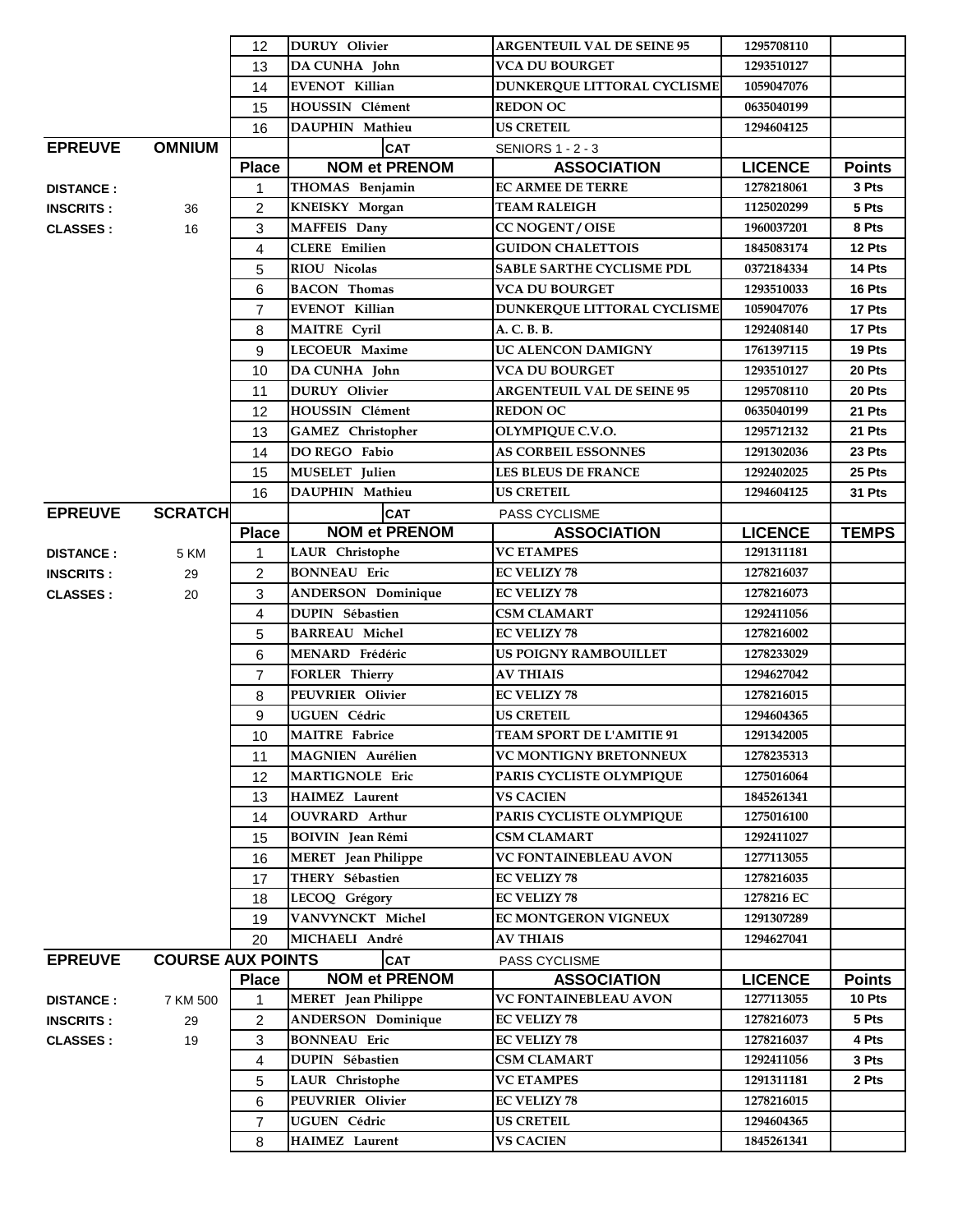|                                     |                          | 12             | <b>DURUY</b> Olivier                          | <b>ARGENTEUIL VAL DE SEINE 95</b>        | 1295708110               |                |
|-------------------------------------|--------------------------|----------------|-----------------------------------------------|------------------------------------------|--------------------------|----------------|
|                                     |                          | 13             | DA CUNHA John                                 | <b>VCA DU BOURGET</b>                    | 1293510127               |                |
|                                     |                          | 14             | <b>EVENOT Killian</b>                         | DUNKERQUE LITTORAL CYCLISME              | 1059047076               |                |
|                                     |                          | 15             | <b>HOUSSIN Clément</b>                        | <b>REDON OC</b>                          | 0635040199               |                |
|                                     |                          | 16             | DAUPHIN Mathieu                               | <b>US CRETEIL</b>                        | 1294604125               |                |
| <b>EPREUVE</b>                      | <b>OMNIUM</b>            |                | <b>CAT</b>                                    | <b>SENIORS 1 - 2 - 3</b>                 |                          |                |
|                                     |                          | <b>Place</b>   | <b>NOM et PRENOM</b>                          | <b>ASSOCIATION</b>                       | <b>LICENCE</b>           | <b>Points</b>  |
| <b>DISTANCE:</b>                    |                          | 1              | THOMAS Benjamin                               | <b>EC ARMEE DE TERRE</b>                 | 1278218061               | 3 Pts          |
| <b>INSCRITS:</b>                    | 36                       | 2              | KNEISKY Morgan                                | <b>TEAM RALEIGH</b>                      | 1125020299               | 5 Pts          |
| <b>CLASSES:</b>                     | 16                       | 3              | <b>MAFFEIS</b> Dany                           | <b>CC NOGENT / OISE</b>                  | 1960037201               | 8 Pts          |
|                                     |                          | 4              | <b>CLERE</b> Emilien                          | <b>GUIDON CHALETTOIS</b>                 | 1845083174               | 12 Pts         |
|                                     |                          | 5              | RIOU Nicolas                                  | <b>SABLE SARTHE CYCLISME PDL</b>         | 0372184334               | 14 Pts         |
|                                     |                          | 6              | <b>BACON</b> Thomas                           | <b>VCA DU BOURGET</b>                    | 1293510033               | 16 Pts         |
|                                     |                          | $\overline{7}$ | <b>EVENOT Killian</b>                         | DUNKERQUE LITTORAL CYCLISME              | 1059047076               | 17 Pts         |
|                                     |                          | 8              | <b>MAITRE</b> Cyril                           | A. C. B. B.                              | 1292408140               | 17 Pts         |
|                                     |                          | 9              | <b>LECOEUR Maxime</b>                         | UC ALENCON DAMIGNY                       | 1761397115               | 19 Pts         |
|                                     |                          | 10             | DA CUNHA John                                 | <b>VCA DU BOURGET</b>                    | 1293510127               | 20 Pts         |
|                                     |                          | 11             | <b>DURUY</b> Olivier                          | <b>ARGENTEUIL VAL DE SEINE 95</b>        | 1295708110               | 20 Pts         |
|                                     |                          | 12             | <b>HOUSSIN Clément</b>                        | <b>REDON OC</b>                          | 0635040199               | 21 Pts         |
|                                     |                          | 13             | <b>GAMEZ</b> Christopher                      | OLYMPIQUE C.V.O.                         | 1295712132               | 21 Pts         |
|                                     |                          | 14             | DO REGO Fabio                                 | <b>AS CORBEIL ESSONNES</b>               | 1291302036               | 23 Pts         |
|                                     |                          | 15             | MUSELET Julien                                | <b>LES BLEUS DE FRANCE</b>               | 1292402025               | 25 Pts         |
|                                     |                          | 16             | DAUPHIN Mathieu                               | <b>US CRETEIL</b>                        | 1294604125               | 31 Pts         |
| <b>EPREUVE</b>                      | <b>SCRATCH</b>           |                | <b>CAT</b>                                    | PASS CYCLISME                            |                          |                |
|                                     |                          | <b>Place</b>   | <b>NOM et PRENOM</b>                          | <b>ASSOCIATION</b>                       | <b>LICENCE</b>           | <b>TEMPS</b>   |
|                                     | 5 KM                     | 1              | <b>LAUR</b> Christophe                        | <b>VC ETAMPES</b>                        | 1291311181               |                |
| <b>DISTANCE:</b>                    | 29                       | $\overline{2}$ | <b>BONNEAU</b> Eric                           | <b>EC VELIZY 78</b>                      | 1278216037               |                |
| <b>INSCRITS:</b><br><b>CLASSES:</b> | 20                       | 3              | <b>ANDERSON Dominique</b>                     | <b>EC VELIZY 78</b>                      | 1278216073               |                |
|                                     |                          | 4              | <b>DUPIN Sébastien</b>                        | <b>CSM CLAMART</b>                       | 1292411056               |                |
|                                     |                          | 5              | <b>BARREAU Michel</b>                         | <b>EC VELIZY 78</b>                      | 1278216002               |                |
|                                     |                          | 6              | MENARD Frédéric                               | <b>US POIGNY RAMBOUILLET</b>             | 1278233029               |                |
|                                     |                          | $\overline{7}$ | <b>FORLER Thierry</b>                         | <b>AV THIAIS</b>                         | 1294627042               |                |
|                                     |                          | 8              | <b>PEUVRIER Olivier</b>                       | <b>EC VELIZY 78</b>                      | 1278216015               |                |
|                                     |                          | 9              | UGUEN Cédric                                  | <b>US CRETEIL</b>                        | 1294604365               |                |
|                                     |                          | 10             | <b>MAITRE</b> Fabrice                         | TEAM SPORT DE L'AMITIE 91                | 1291342005               |                |
|                                     |                          | 11             | <b>MAGNIEN</b> Aurélien                       | <b>VC MONTIGNY BRETONNEUX</b>            | 1278235313               |                |
|                                     |                          | 12             | MARTIGNOLE Eric                               | PARIS CYCLISTE OLYMPIQUE                 | 1275016064               |                |
|                                     |                          |                | <b>HAIMEZ</b> Laurent                         | <b>VS CACIEN</b>                         | 1845261341               |                |
|                                     |                          | 13<br>14       | <b>OUVRARD</b> Arthur                         | PARIS CYCLISTE OLYMPIQUE                 | 1275016100               |                |
|                                     |                          |                | <b>BOIVIN</b> Jean Rémi                       | <b>CSM CLAMART</b>                       | 1292411027               |                |
|                                     |                          | 15             |                                               | <b>VC FONTAINEBLEAU AVON</b>             | 1277113055               |                |
|                                     |                          | 16             | <b>MERET</b> Jean Philippe<br>THERY Sébastien | <b>EC VELIZY 78</b>                      | 1278216035               |                |
|                                     |                          | 17             | LECOQ Grégory                                 | <b>EC VELIZY 78</b>                      | 1278216 EC               |                |
|                                     |                          | 18             | VANVYNCKT Michel                              | EC MONTGERON VIGNEUX                     | 1291307289               |                |
|                                     |                          | 19<br>20       | MICHAELI André                                | <b>AV THIAIS</b>                         | 1294627041               |                |
| <b>EPREUVE</b>                      | <b>COURSE AUX POINTS</b> |                | <b>CAT</b>                                    |                                          |                          |                |
|                                     |                          |                |                                               | PASS CYCLISME                            |                          |                |
| <b>DISTANCE:</b>                    |                          |                |                                               |                                          |                          |                |
|                                     |                          | <b>Place</b>   | <b>NOM et PRENOM</b>                          | <b>ASSOCIATION</b>                       | <b>LICENCE</b>           | <b>Points</b>  |
|                                     | 7 KM 500                 | 1              | <b>MERET</b> Jean Philippe                    | <b>VC FONTAINEBLEAU AVON</b>             | 1277113055               | 10 Pts         |
| <b>INSCRITS:</b>                    | 29                       | $\overline{2}$ | <b>ANDERSON Dominique</b>                     | <b>EC VELIZY 78</b>                      | 1278216073               | 5 Pts          |
| <b>CLASSES:</b>                     | 19                       | 3              | <b>BONNEAU</b> Eric                           | <b>EC VELIZY 78</b>                      | 1278216037               | 4 Pts<br>3 Pts |
|                                     |                          | 4              | DUPIN Sébastien                               | <b>CSM CLAMART</b>                       | 1292411056<br>1291311181 | 2 Pts          |
|                                     |                          | 5<br>6         | LAUR Christophe<br>PEUVRIER Olivier           | <b>VC ETAMPES</b><br><b>EC VELIZY 78</b> | 1278216015               |                |
|                                     |                          | 7              | UGUEN Cédric                                  | <b>US CRETEIL</b>                        | 1294604365               |                |
|                                     |                          | 8              | HAIMEZ Laurent                                | <b>VS CACIEN</b>                         | 1845261341               |                |